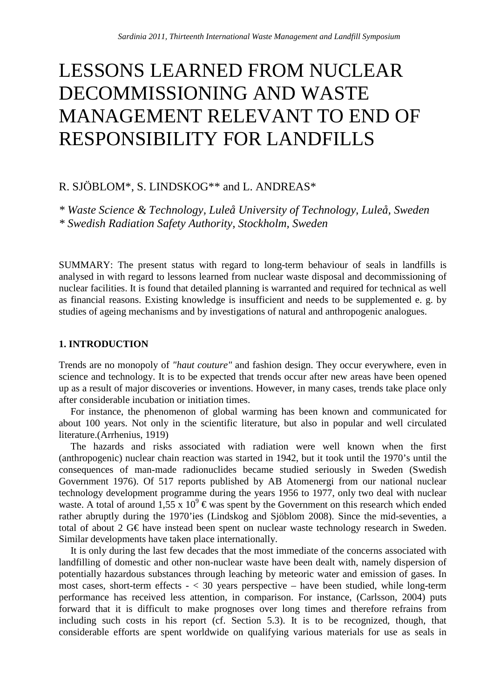# LESSONS LEARNED FROM NUCLEAR DECOMMISSIONING AND WASTE MANAGEMENT RELEVANT TO END OF RESPONSIBILITY FOR LANDFILLS

## R. SJÖBLOM\*, S. LINDSKOG\*\* and L. ANDREAS\*

*\* Waste Science & Technology, Luleå University of Technology, Luleå, Sweden \* Swedish Radiation Safety Authority, Stockholm, Sweden* 

SUMMARY: The present status with regard to long-term behaviour of seals in landfills is analysed in with regard to lessons learned from nuclear waste disposal and decommissioning of nuclear facilities. It is found that detailed planning is warranted and required for technical as well as financial reasons. Existing knowledge is insufficient and needs to be supplemented e. g. by studies of ageing mechanisms and by investigations of natural and anthropogenic analogues.

#### **1. INTRODUCTION**

Trends are no monopoly of *"haut couture"* and fashion design. They occur everywhere, even in science and technology. It is to be expected that trends occur after new areas have been opened up as a result of major discoveries or inventions. However, in many cases, trends take place only after considerable incubation or initiation times.

For instance, the phenomenon of global warming has been known and communicated for about 100 years. Not only in the scientific literature, but also in popular and well circulated literature.(Arrhenius, 1919)

The hazards and risks associated with radiation were well known when the first (anthropogenic) nuclear chain reaction was started in 1942, but it took until the 1970's until the consequences of man-made radionuclides became studied seriously in Sweden (Swedish Government 1976). Of 517 reports published by AB Atomenergi from our national nuclear technology development programme during the years 1956 to 1977, only two deal with nuclear waste. A total of around  $1.55 \times 10^9$  Ewas spent by the Government on this research which ended rather abruptly during the 1970'ies (Lindskog and Sjöblom 2008). Since the mid-seventies, a total of about 2 G€ have instead been spent on nuclear waste technology research in Sweden. Similar developments have taken place internationally.

It is only during the last few decades that the most immediate of the concerns associated with landfilling of domestic and other non-nuclear waste have been dealt with, namely dispersion of potentially hazardous substances through leaching by meteoric water and emission of gases. In most cases, short-term effects  $- < 30$  years perspective – have been studied, while long-term performance has received less attention, in comparison. For instance, (Carlsson, 2004) puts forward that it is difficult to make prognoses over long times and therefore refrains from including such costs in his report (cf. Section 5.3). It is to be recognized, though, that considerable efforts are spent worldwide on qualifying various materials for use as seals in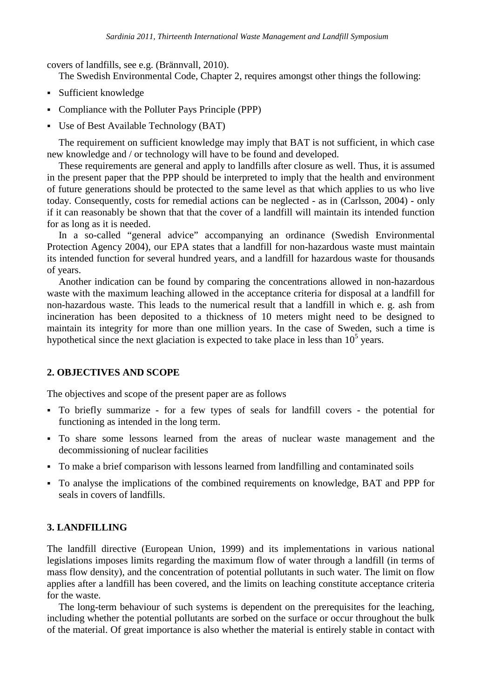covers of landfills, see e.g. (Brännvall, 2010).

The Swedish Environmental Code, Chapter 2, requires amongst other things the following:

- Sufficient knowledge
- Compliance with the Polluter Pays Principle (PPP)
- Use of Best Available Technology (BAT)

The requirement on sufficient knowledge may imply that BAT is not sufficient, in which case new knowledge and / or technology will have to be found and developed.

These requirements are general and apply to landfills after closure as well. Thus, it is assumed in the present paper that the PPP should be interpreted to imply that the health and environment of future generations should be protected to the same level as that which applies to us who live today. Consequently, costs for remedial actions can be neglected - as in (Carlsson, 2004) - only if it can reasonably be shown that that the cover of a landfill will maintain its intended function for as long as it is needed.

In a so-called "general advice" accompanying an ordinance (Swedish Environmental Protection Agency 2004), our EPA states that a landfill for non-hazardous waste must maintain its intended function for several hundred years, and a landfill for hazardous waste for thousands of years.

Another indication can be found by comparing the concentrations allowed in non-hazardous waste with the maximum leaching allowed in the acceptance criteria for disposal at a landfill for non-hazardous waste. This leads to the numerical result that a landfill in which e. g. ash from incineration has been deposited to a thickness of 10 meters might need to be designed to maintain its integrity for more than one million years. In the case of Sweden, such a time is hypothetical since the next glaciation is expected to take place in less than  $10<sup>5</sup>$  years.

## **2. OBJECTIVES AND SCOPE**

The objectives and scope of the present paper are as follows

- To briefly summarize for a few types of seals for landfill covers the potential for functioning as intended in the long term.
- To share some lessons learned from the areas of nuclear waste management and the decommissioning of nuclear facilities
- To make a brief comparison with lessons learned from landfilling and contaminated soils
- To analyse the implications of the combined requirements on knowledge, BAT and PPP for seals in covers of landfills.

## **3. LANDFILLING**

The landfill directive (European Union, 1999) and its implementations in various national legislations imposes limits regarding the maximum flow of water through a landfill (in terms of mass flow density), and the concentration of potential pollutants in such water. The limit on flow applies after a landfill has been covered, and the limits on leaching constitute acceptance criteria for the waste.

The long-term behaviour of such systems is dependent on the prerequisites for the leaching, including whether the potential pollutants are sorbed on the surface or occur throughout the bulk of the material. Of great importance is also whether the material is entirely stable in contact with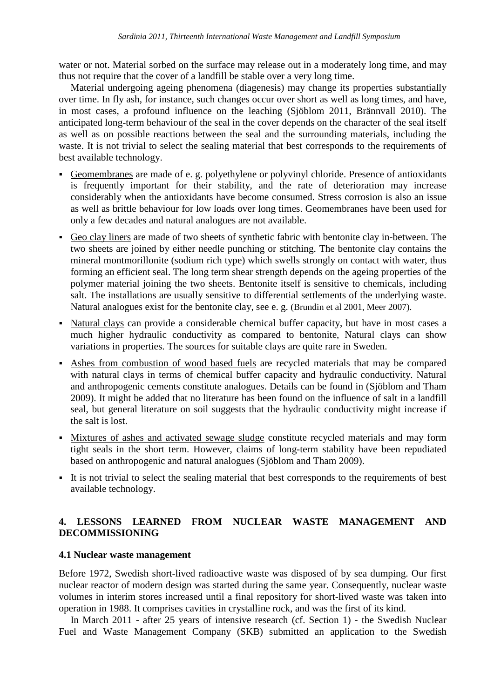water or not. Material sorbed on the surface may release out in a moderately long time, and may thus not require that the cover of a landfill be stable over a very long time.

Material undergoing ageing phenomena (diagenesis) may change its properties substantially over time. In fly ash, for instance, such changes occur over short as well as long times, and have, in most cases, a profound influence on the leaching (Sjöblom 2011, Brännvall 2010). The anticipated long-term behaviour of the seal in the cover depends on the character of the seal itself as well as on possible reactions between the seal and the surrounding materials, including the waste. It is not trivial to select the sealing material that best corresponds to the requirements of best available technology.

- Geomembranes are made of e. g. polyethylene or polyvinyl chloride. Presence of antioxidants is frequently important for their stability, and the rate of deterioration may increase considerably when the antioxidants have become consumed. Stress corrosion is also an issue as well as brittle behaviour for low loads over long times. Geomembranes have been used for only a few decades and natural analogues are not available.
- Geo clay liners are made of two sheets of synthetic fabric with bentonite clay in-between. The two sheets are joined by either needle punching or stitching. The bentonite clay contains the mineral montmorillonite (sodium rich type) which swells strongly on contact with water, thus forming an efficient seal. The long term shear strength depends on the ageing properties of the polymer material joining the two sheets. Bentonite itself is sensitive to chemicals, including salt. The installations are usually sensitive to differential settlements of the underlying waste. Natural analogues exist for the bentonite clay, see e. g. (Brundin et al 2001, Meer 2007).
- Natural clays can provide a considerable chemical buffer capacity, but have in most cases a much higher hydraulic conductivity as compared to bentonite, Natural clays can show variations in properties. The sources for suitable clays are quite rare in Sweden.
- Ashes from combustion of wood based fuels are recycled materials that may be compared with natural clays in terms of chemical buffer capacity and hydraulic conductivity. Natural and anthropogenic cements constitute analogues. Details can be found in (Sjöblom and Tham 2009). It might be added that no literature has been found on the influence of salt in a landfill seal, but general literature on soil suggests that the hydraulic conductivity might increase if the salt is lost.
- Mixtures of ashes and activated sewage sludge constitute recycled materials and may form tight seals in the short term. However, claims of long-term stability have been repudiated based on anthropogenic and natural analogues (Sjöblom and Tham 2009).
- It is not trivial to select the sealing material that best corresponds to the requirements of best available technology.

## **4. LESSONS LEARNED FROM NUCLEAR WASTE MANAGEMENT AND DECOMMISSIONING**

## **4.1 Nuclear waste management**

Before 1972, Swedish short-lived radioactive waste was disposed of by sea dumping. Our first nuclear reactor of modern design was started during the same year. Consequently, nuclear waste volumes in interim stores increased until a final repository for short-lived waste was taken into operation in 1988. It comprises cavities in crystalline rock, and was the first of its kind.

In March 2011 - after 25 years of intensive research (cf. Section 1) - the Swedish Nuclear Fuel and Waste Management Company (SKB) submitted an application to the Swedish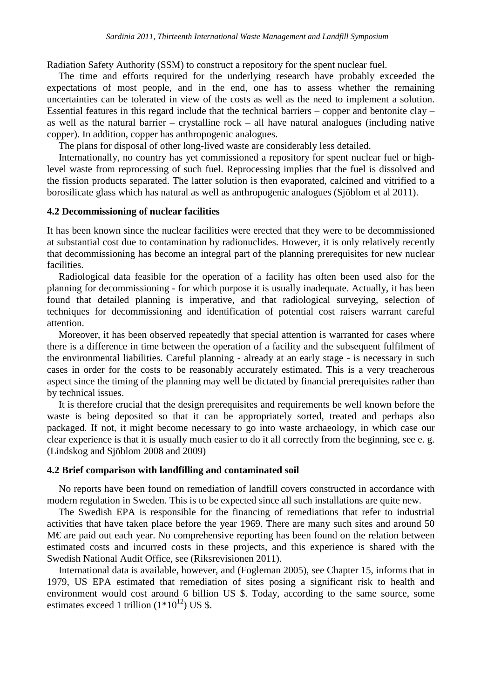Radiation Safety Authority (SSM) to construct a repository for the spent nuclear fuel.

The time and efforts required for the underlying research have probably exceeded the expectations of most people, and in the end, one has to assess whether the remaining uncertainties can be tolerated in view of the costs as well as the need to implement a solution. Essential features in this regard include that the technical barriers – copper and bentonite clay – as well as the natural barrier – crystalline rock – all have natural analogues (including native copper). In addition, copper has anthropogenic analogues.

The plans for disposal of other long-lived waste are considerably less detailed.

Internationally, no country has yet commissioned a repository for spent nuclear fuel or highlevel waste from reprocessing of such fuel. Reprocessing implies that the fuel is dissolved and the fission products separated. The latter solution is then evaporated, calcined and vitrified to a borosilicate glass which has natural as well as anthropogenic analogues (Sjöblom et al 2011).

#### **4.2 Decommissioning of nuclear facilities**

It has been known since the nuclear facilities were erected that they were to be decommissioned at substantial cost due to contamination by radionuclides. However, it is only relatively recently that decommissioning has become an integral part of the planning prerequisites for new nuclear facilities.

Radiological data feasible for the operation of a facility has often been used also for the planning for decommissioning - for which purpose it is usually inadequate. Actually, it has been found that detailed planning is imperative, and that radiological surveying, selection of techniques for decommissioning and identification of potential cost raisers warrant careful attention.

Moreover, it has been observed repeatedly that special attention is warranted for cases where there is a difference in time between the operation of a facility and the subsequent fulfilment of the environmental liabilities. Careful planning - already at an early stage - is necessary in such cases in order for the costs to be reasonably accurately estimated. This is a very treacherous aspect since the timing of the planning may well be dictated by financial prerequisites rather than by technical issues.

It is therefore crucial that the design prerequisites and requirements be well known before the waste is being deposited so that it can be appropriately sorted, treated and perhaps also packaged. If not, it might become necessary to go into waste archaeology, in which case our clear experience is that it is usually much easier to do it all correctly from the beginning, see e. g. (Lindskog and Sjöblom 2008 and 2009)

#### **4.2 Brief comparison with landfilling and contaminated soil**

No reports have been found on remediation of landfill covers constructed in accordance with modern regulation in Sweden. This is to be expected since all such installations are quite new.

The Swedish EPA is responsible for the financing of remediations that refer to industrial activities that have taken place before the year 1969. There are many such sites and around 50 M€ are paid out each year. No comprehensive reporting has been found on the relation between estimated costs and incurred costs in these projects, and this experience is shared with the Swedish National Audit Office, see (Riksrevisionen 2011).

International data is available, however, and (Fogleman 2005), see Chapter 15, informs that in 1979, US EPA estimated that remediation of sites posing a significant risk to health and environment would cost around 6 billion US \$. Today, according to the same source, some estimates exceed 1 trillion  $(1*10^{12})$  US \$.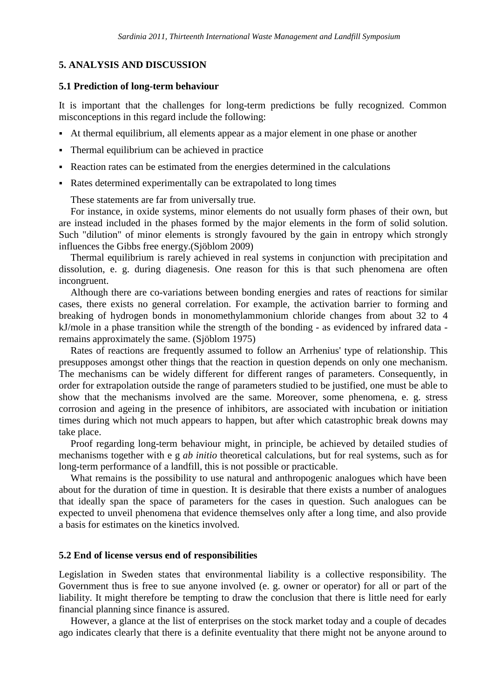#### **5. ANALYSIS AND DISCUSSION**

#### **5.1 Prediction of long-term behaviour**

It is important that the challenges for long-term predictions be fully recognized. Common misconceptions in this regard include the following:

- At thermal equilibrium, all elements appear as a major element in one phase or another
- Thermal equilibrium can be achieved in practice
- Reaction rates can be estimated from the energies determined in the calculations
- Rates determined experimentally can be extrapolated to long times

These statements are far from universally true.

For instance, in oxide systems, minor elements do not usually form phases of their own, but are instead included in the phases formed by the major elements in the form of solid solution. Such "dilution" of minor elements is strongly favoured by the gain in entropy which strongly influences the Gibbs free energy.(Sjöblom 2009)

Thermal equilibrium is rarely achieved in real systems in conjunction with precipitation and dissolution, e. g. during diagenesis. One reason for this is that such phenomena are often incongruent.

Although there are co-variations between bonding energies and rates of reactions for similar cases, there exists no general correlation. For example, the activation barrier to forming and breaking of hydrogen bonds in monomethylammonium chloride changes from about 32 to 4 kJ/mole in a phase transition while the strength of the bonding - as evidenced by infrared data remains approximately the same. (Sjöblom 1975)

Rates of reactions are frequently assumed to follow an Arrhenius' type of relationship. This presupposes amongst other things that the reaction in question depends on only one mechanism. The mechanisms can be widely different for different ranges of parameters. Consequently, in order for extrapolation outside the range of parameters studied to be justified, one must be able to show that the mechanisms involved are the same. Moreover, some phenomena, e. g. stress corrosion and ageing in the presence of inhibitors, are associated with incubation or initiation times during which not much appears to happen, but after which catastrophic break downs may take place.

Proof regarding long-term behaviour might, in principle, be achieved by detailed studies of mechanisms together with e g *ab initio* theoretical calculations, but for real systems, such as for long-term performance of a landfill, this is not possible or practicable.

What remains is the possibility to use natural and anthropogenic analogues which have been about for the duration of time in question. It is desirable that there exists a number of analogues that ideally span the space of parameters for the cases in question. Such analogues can be expected to unveil phenomena that evidence themselves only after a long time, and also provide a basis for estimates on the kinetics involved.

#### **5.2 End of license versus end of responsibilities**

Legislation in Sweden states that environmental liability is a collective responsibility. The Government thus is free to sue anyone involved (e. g. owner or operator) for all or part of the liability. It might therefore be tempting to draw the conclusion that there is little need for early financial planning since finance is assured.

However, a glance at the list of enterprises on the stock market today and a couple of decades ago indicates clearly that there is a definite eventuality that there might not be anyone around to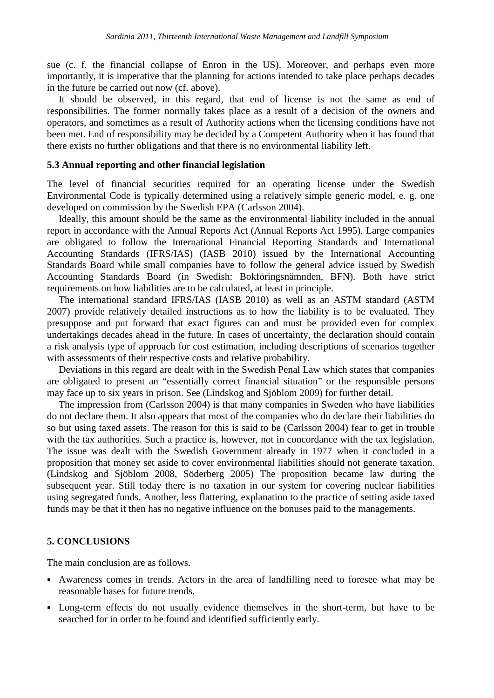sue (c. f. the financial collapse of Enron in the US). Moreover, and perhaps even more importantly, it is imperative that the planning for actions intended to take place perhaps decades in the future be carried out now (cf. above).

It should be observed, in this regard, that end of license is not the same as end of responsibilities. The former normally takes place as a result of a decision of the owners and operators, and sometimes as a result of Authority actions when the licensing conditions have not been met. End of responsibility may be decided by a Competent Authority when it has found that there exists no further obligations and that there is no environmental liability left.

#### **5.3 Annual reporting and other financial legislation**

The level of financial securities required for an operating license under the Swedish Environmental Code is typically determined using a relatively simple generic model, e. g. one developed on commission by the Swedish EPA (Carlsson 2004).

Ideally, this amount should be the same as the environmental liability included in the annual report in accordance with the Annual Reports Act (Annual Reports Act 1995). Large companies are obligated to follow the International Financial Reporting Standards and International Accounting Standards (IFRS/IAS) (IASB 2010) issued by the International Accounting Standards Board while small companies have to follow the general advice issued by Swedish Accounting Standards Board (in Swedish: Bokföringsnämnden, BFN). Both have strict requirements on how liabilities are to be calculated, at least in principle.

The international standard IFRS/IAS (IASB 2010) as well as an ASTM standard (ASTM 2007) provide relatively detailed instructions as to how the liability is to be evaluated. They presuppose and put forward that exact figures can and must be provided even for complex undertakings decades ahead in the future. In cases of uncertainty, the declaration should contain a risk analysis type of approach for cost estimation, including descriptions of scenarios together with assessments of their respective costs and relative probability.

Deviations in this regard are dealt with in the Swedish Penal Law which states that companies are obligated to present an "essentially correct financial situation" or the responsible persons may face up to six years in prison. See (Lindskog and Sjöblom 2009) for further detail.

The impression from (Carlsson 2004) is that many companies in Sweden who have liabilities do not declare them. It also appears that most of the companies who do declare their liabilities do so but using taxed assets. The reason for this is said to be (Carlsson 2004) fear to get in trouble with the tax authorities. Such a practice is, however, not in concordance with the tax legislation. The issue was dealt with the Swedish Government already in 1977 when it concluded in a proposition that money set aside to cover environmental liabilities should not generate taxation. (Lindskog and Sjöblom 2008, Söderberg 2005) The proposition became law during the subsequent year. Still today there is no taxation in our system for covering nuclear liabilities using segregated funds. Another, less flattering, explanation to the practice of setting aside taxed funds may be that it then has no negative influence on the bonuses paid to the managements.

#### **5. CONCLUSIONS**

The main conclusion are as follows.

- Awareness comes in trends. Actors in the area of landfilling need to foresee what may be reasonable bases for future trends.
- Long-term effects do not usually evidence themselves in the short-term, but have to be searched for in order to be found and identified sufficiently early.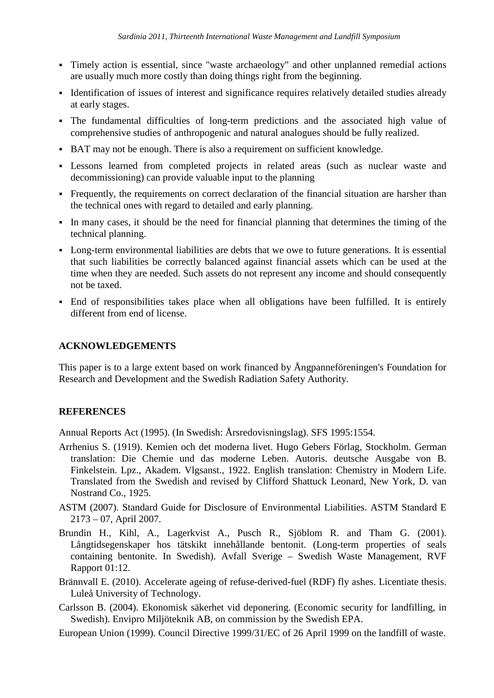- Timely action is essential, since "waste archaeology" and other unplanned remedial actions are usually much more costly than doing things right from the beginning.
- Identification of issues of interest and significance requires relatively detailed studies already at early stages.
- The fundamental difficulties of long-term predictions and the associated high value of comprehensive studies of anthropogenic and natural analogues should be fully realized.
- BAT may not be enough. There is also a requirement on sufficient knowledge.
- Lessons learned from completed projects in related areas (such as nuclear waste and decommissioning) can provide valuable input to the planning
- Frequently, the requirements on correct declaration of the financial situation are harsher than the technical ones with regard to detailed and early planning.
- In many cases, it should be the need for financial planning that determines the timing of the technical planning.
- Long-term environmental liabilities are debts that we owe to future generations. It is essential that such liabilities be correctly balanced against financial assets which can be used at the time when they are needed. Such assets do not represent any income and should consequently not be taxed.
- End of responsibilities takes place when all obligations have been fulfilled. It is entirely different from end of license.

## **ACKNOWLEDGEMENTS**

This paper is to a large extent based on work financed by Ångpanneföreningen's Foundation for Research and Development and the Swedish Radiation Safety Authority.

## **REFERENCES**

Annual Reports Act (1995). (In Swedish: Årsredovisningslag). SFS 1995:1554.

- Arrhenius S. (1919). Kemien och det moderna livet. Hugo Gebers Förlag, Stockholm. German translation: Die Chemie und das moderne Leben. Autoris. deutsche Ausgabe von B. Finkelstein. Lpz., Akadem. Vlgsanst., 1922. English translation: Chemistry in Modern Life. Translated from the Swedish and revised by Clifford Shattuck Leonard, New York, D. van Nostrand Co., 1925.
- ASTM (2007). Standard Guide for Disclosure of Environmental Liabilities. ASTM Standard E 2173 – 07, April 2007.
- Brundin H., Kihl, A., Lagerkvist A., Pusch R., Sjöblom R. and Tham G. (2001). Långtidsegenskaper hos tätskikt innehållande bentonit. (Long-term properties of seals containing bentonite. In Swedish). Avfall Sverige – Swedish Waste Management, RVF Rapport 01:12.
- Brännvall E. (2010). Accelerate ageing of refuse-derived-fuel (RDF) fly ashes. Licentiate thesis. Luleå University of Technology.
- Carlsson B. (2004). Ekonomisk säkerhet vid deponering. (Economic security for landfilling, in Swedish). Envipro Miljöteknik AB, on commission by the Swedish EPA.
- European Union (1999). Council Directive 1999/31/EC of 26 April 1999 on the landfill of waste.